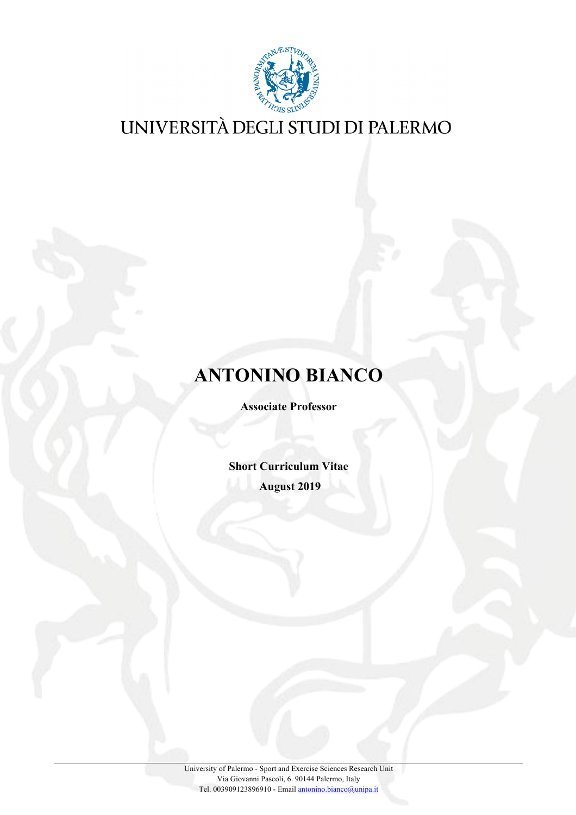

## **ANTONINO BIANCO**

**Associate Professor** 

**Short Curriculum Vitae August 2019**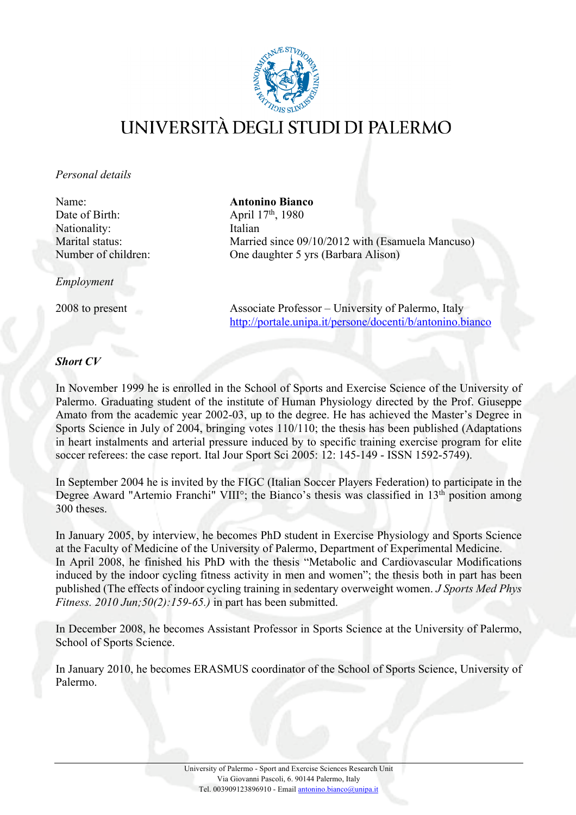

#### *Personal details*

Name: **Antonino Bianco** Date of Birth: April 17<sup>th</sup>, 1980 Nationality: Italian

*Employment*

Marital status: Married since 09/10/2012 with (Esamuela Mancuso) Number of children: One daughter 5 yrs (Barbara Alison)

2008 to present Associate Professor – University of Palermo, Italy http://portale.unipa.it/persone/docenti/b/antonino.bianco

#### *Short CV*

In November 1999 he is enrolled in the School of Sports and Exercise Science of the University of Palermo. Graduating student of the institute of Human Physiology directed by the Prof. Giuseppe Amato from the academic year 2002-03, up to the degree. He has achieved the Master's Degree in Sports Science in July of 2004, bringing votes 110/110; the thesis has been published (Adaptations in heart instalments and arterial pressure induced by to specific training exercise program for elite soccer referees: the case report. Ital Jour Sport Sci 2005: 12: 145-149 - ISSN 1592-5749).

In September 2004 he is invited by the FIGC (Italian Soccer Players Federation) to participate in the Degree Award "Artemio Franchi" VIII°; the Bianco's thesis was classified in 13<sup>th</sup> position among 300 theses.

In January 2005, by interview, he becomes PhD student in Exercise Physiology and Sports Science at the Faculty of Medicine of the University of Palermo, Department of Experimental Medicine. In April 2008, he finished his PhD with the thesis "Metabolic and Cardiovascular Modifications induced by the indoor cycling fitness activity in men and women"; the thesis both in part has been published (The effects of indoor cycling training in sedentary overweight women. *J Sports Med Phys Fitness. 2010 Jun;50(2):159-65.)* in part has been submitted.

In December 2008, he becomes Assistant Professor in Sports Science at the University of Palermo, School of Sports Science.

In January 2010, he becomes ERASMUS coordinator of the School of Sports Science, University of Palermo.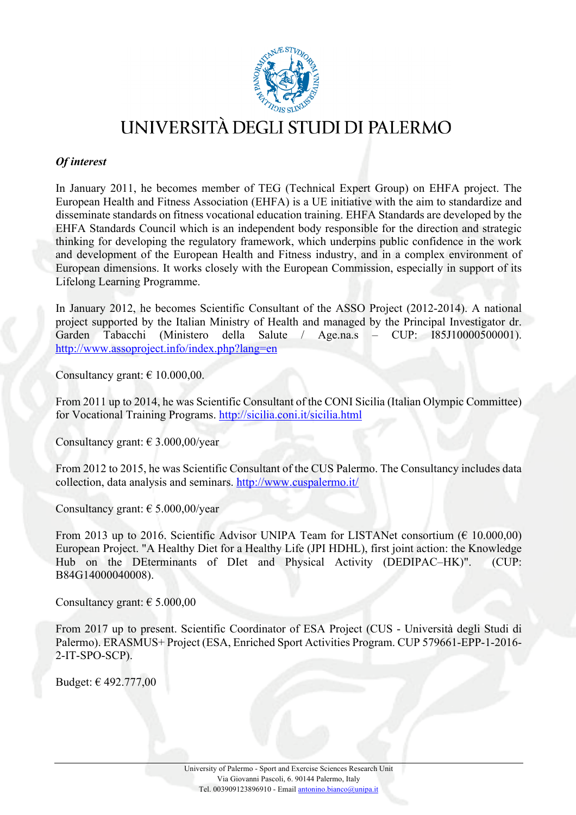

#### *Of interest*

In January 2011, he becomes member of TEG (Technical Expert Group) on EHFA project. The European Health and Fitness Association (EHFA) is a UE initiative with the aim to standardize and disseminate standards on fitness vocational education training. EHFA Standards are developed by the EHFA Standards Council which is an independent body responsible for the direction and strategic thinking for developing the regulatory framework, which underpins public confidence in the work and development of the European Health and Fitness industry, and in a complex environment of European dimensions. It works closely with the European Commission, especially in support of its Lifelong Learning Programme.

In January 2012, he becomes Scientific Consultant of the ASSO Project (2012-2014). A national project supported by the Italian Ministry of Health and managed by the Principal Investigator dr. Garden Tabacchi (Ministero della Salute / Age.na.s – CUP: I85J10000500001). http://www.assoproject.info/index.php?lang=en

Consultancy grant:  $\epsilon$  10.000,00.

From 2011 up to 2014, he was Scientific Consultant of the CONI Sicilia (Italian Olympic Committee) for Vocational Training Programs. http://sicilia.coni.it/sicilia.html

Consultancy grant:  $\in$  3.000,00/year

From 2012 to 2015, he was Scientific Consultant of the CUS Palermo. The Consultancy includes data collection, data analysis and seminars. http://www.cuspalermo.it/

Consultancy grant:  $\epsilon$  5.000,00/year

From 2013 up to 2016. Scientific Advisor UNIPA Team for LISTANet consortium ( $\epsilon$  10.000,00) European Project. "A Healthy Diet for a Healthy Life (JPI HDHL), first joint action: the Knowledge Hub on the DEterminants of DIet and Physical Activity (DEDIPAC–HK)". (CUP: B84G14000040008).

Consultancy grant:  $\epsilon$  5.000,00

From 2017 up to present. Scientific Coordinator of ESA Project (CUS - Università degli Studi di Palermo). ERASMUS+ Project (ESA, Enriched Sport Activities Program. CUP 579661-EPP-1-2016- 2-IT-SPO-SCP).

Budget: € 492.777,00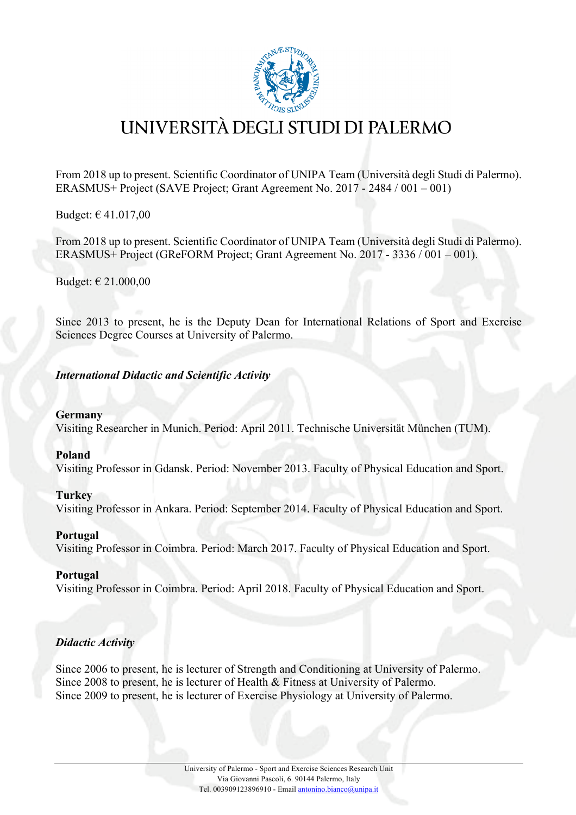

From 2018 up to present. Scientific Coordinator of UNIPA Team (Università degli Studi di Palermo). ERASMUS+ Project (SAVE Project; Grant Agreement No. 2017 - 2484 / 001 – 001)

Budget: € 41.017,00

From 2018 up to present. Scientific Coordinator of UNIPA Team (Università degli Studi di Palermo). ERASMUS+ Project (GReFORM Project; Grant Agreement No. 2017 - 3336 / 001 – 001).

Budget: € 21.000,00

Since 2013 to present, he is the Deputy Dean for International Relations of Sport and Exercise Sciences Degree Courses at University of Palermo.

*International Didactic and Scientific Activity*

#### **Germany**

Visiting Researcher in Munich. Period: April 2011. Technische Universität München (TUM).

#### **Poland**

Visiting Professor in Gdansk. Period: November 2013. Faculty of Physical Education and Sport.

#### **Turkey**

Visiting Professor in Ankara. Period: September 2014. Faculty of Physical Education and Sport.

#### **Portugal**

Visiting Professor in Coimbra. Period: March 2017. Faculty of Physical Education and Sport.

#### **Portugal**

Visiting Professor in Coimbra. Period: April 2018. Faculty of Physical Education and Sport.

#### *Didactic Activity*

Since 2006 to present, he is lecturer of Strength and Conditioning at University of Palermo. Since 2008 to present, he is lecturer of Health & Fitness at University of Palermo. Since 2009 to present, he is lecturer of Exercise Physiology at University of Palermo.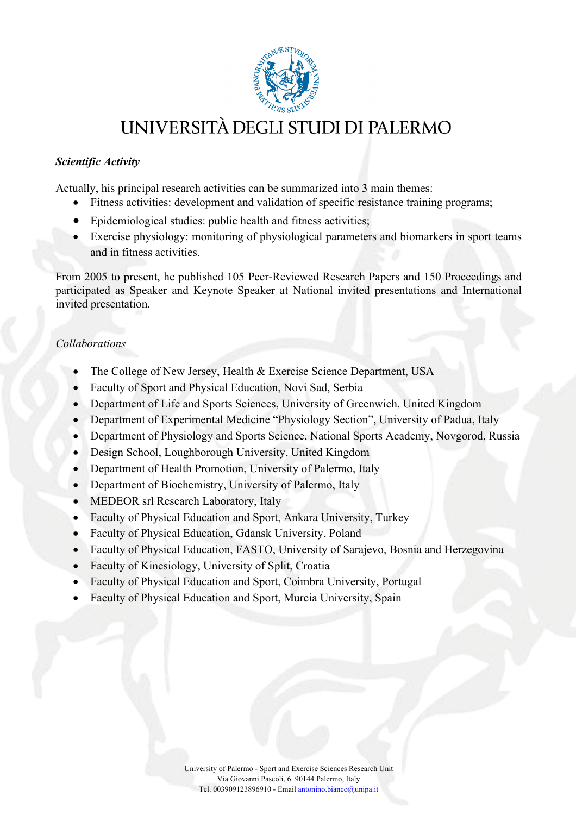

#### *Scientific Activity*

Actually, his principal research activities can be summarized into 3 main themes:

- Fitness activities: development and validation of specific resistance training programs;
- Epidemiological studies: public health and fitness activities;
- Exercise physiology: monitoring of physiological parameters and biomarkers in sport teams and in fitness activities.

From 2005 to present, he published 105 Peer-Reviewed Research Papers and 150 Proceedings and participated as Speaker and Keynote Speaker at National invited presentations and International invited presentation.

#### *Collaborations*

- The College of New Jersey, Health & Exercise Science Department, USA
- Faculty of Sport and Physical Education, Novi Sad, Serbia
- Department of Life and Sports Sciences, University of Greenwich, United Kingdom
- Department of Experimental Medicine "Physiology Section", University of Padua, Italy
- Department of Physiology and Sports Science, National Sports Academy, Novgorod, Russia
- Design School, Loughborough University, United Kingdom
- Department of Health Promotion, University of Palermo, Italy
- Department of Biochemistry, University of Palermo, Italy
- MEDEOR srl Research Laboratory, Italy
- Faculty of Physical Education and Sport, Ankara University, Turkey
- Faculty of Physical Education, Gdansk University, Poland
- Faculty of Physical Education, FASTO, University of Sarajevo, Bosnia and Herzegovina
- Faculty of Kinesiology, University of Split, Croatia
- Faculty of Physical Education and Sport, Coimbra University, Portugal
- Faculty of Physical Education and Sport, Murcia University, Spain